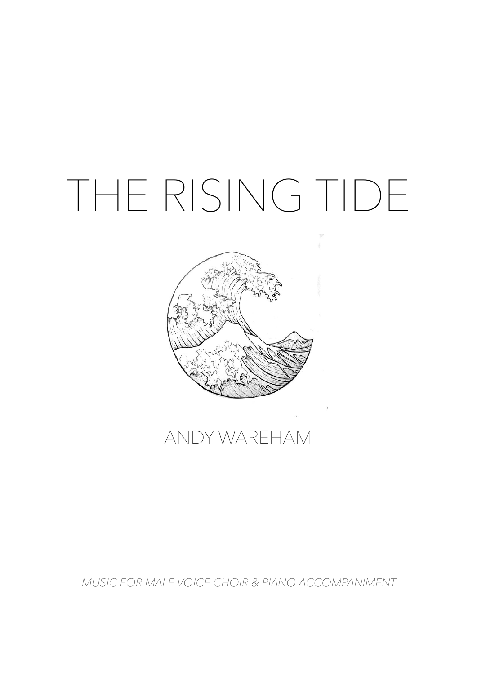# THE RISING TIDE



### ANDY WAREHAM

*MUSIC FOR MALE VOICE CHOIR & PIANO ACCOMPANIMENT*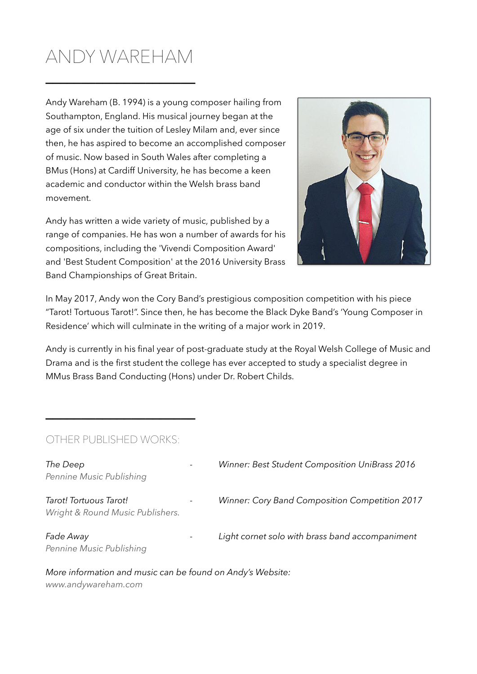## ANDY WAREHAM

**\_\_\_\_\_\_\_\_\_\_\_\_\_\_\_\_\_\_\_\_\_**

Andy Wareham (B. 1994) is a young composer hailing from Southampton, England. His musical journey began at the age of six under the tuition of Lesley Milam and, ever since then, he has aspired to become an accomplished composer of music. Now based in South Wales after completing a BMus (Hons) at Cardiff University, he has become a keen academic and conductor within the Welsh brass band movement.

Andy has written a wide variety of music, published by a range of companies. He has won a number of awards for his compositions, including the 'Vivendi Composition Award' and 'Best Student Composition' at the 2016 University Brass Band Championships of Great Britain.



In May 2017, Andy won the Cory Band's prestigious composition competition with his piece "Tarot! Tortuous Tarot!". Since then, he has become the Black Dyke Band's 'Young Composer in Residence' which will culminate in the writing of a major work in 2019.

Andy is currently in his final year of post-graduate study at the Royal Welsh College of Music and Drama and is the first student the college has ever accepted to study a specialist degree in MMus Brass Band Conducting (Hons) under Dr. Robert Childs.

#### OTHER PUBLISHED WORKS:

**\_\_\_\_\_\_\_\_\_\_\_\_\_\_\_\_\_\_\_\_\_**

*The Deep - Winner: Best Student Composition UniBrass 2016 Pennine Music Publishing Tarot! Tortuous Tarot! - Winner: Cory Band Composition Competition 2017 Wright & Round Music Publishers. Fade Away - Light cornet solo with brass band accompaniment Pennine Music Publishing* 

*More information and music can be found on Andy's Website: www.andywareham.com*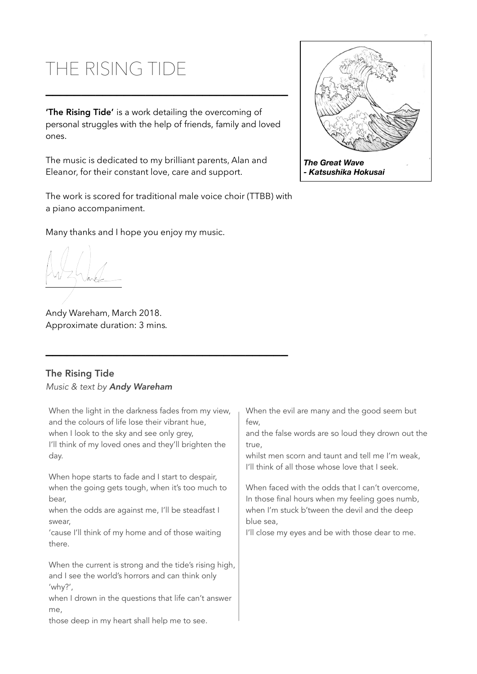## THE RISING TIDE

'The Rising Tide' is a work detailing the overcoming of personal struggles with the help of friends, family and loved ones.

**\_\_\_\_\_\_\_\_\_\_\_\_\_\_\_\_\_\_\_\_\_\_\_\_\_\_\_\_\_\_\_\_\_\_**

The music is dedicated to my brilliant parents, Alan and Eleanor, for their constant love, care and support.

The work is scored for traditional male voice choir (TTBB) with a piano accompaniment.

**\_\_\_\_\_\_\_\_\_\_\_\_\_\_\_\_\_\_\_\_\_\_\_\_\_\_\_\_\_\_\_\_\_\_**

Many thanks and I hope you enjoy my music.

Andy Wareham, March 2018. Approximate duration: 3 mins*.*

#### The Rising Tide *Music & text by Andy Wareham*

When the light in the darkness fades from my view. and the colours of life lose their vibrant hue, when I look to the sky and see only grey, I'll think of my loved ones and they'll brighten the day.

When hope starts to fade and I start to despair, when the going gets tough, when it's too much to bear,

when the odds are against me, I'll be steadfast I swear,

'cause I'll think of my home and of those waiting there.

When the current is strong and the tide's rising high, and I see the world's horrors and can think only 'why?',

when I drown in the questions that life can't answer  $me$ 

*The Great Wave - Katsushika Hokusai*

When the evil are many and the good seem but few,

and the false words are so loud they drown out the true,

whilst men scorn and taunt and tell me I'm weak, I'll think of all those whose love that I seek.

When faced with the odds that I can't overcome. In those final hours when my feeling goes numb, when I'm stuck b'tween the devil and the deep blue sea,

I'll close my eyes and be with those dear to me.

those deep in my heart shall help me to see.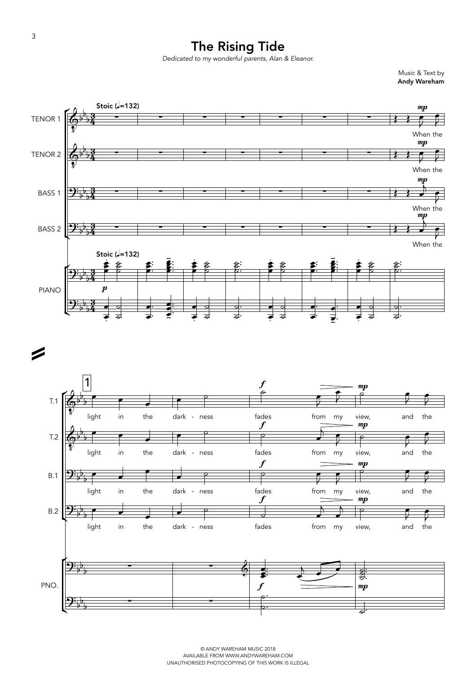The Rising Tide

Dedicated to my wonderful parents, Alan & Eleanor.

Music & Text by Andy Wareham





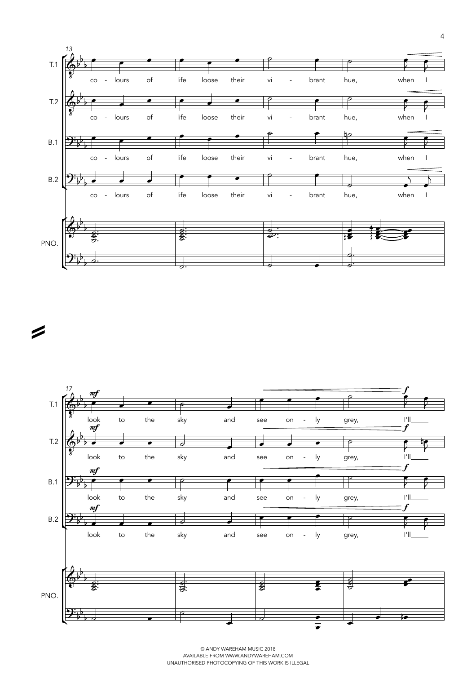

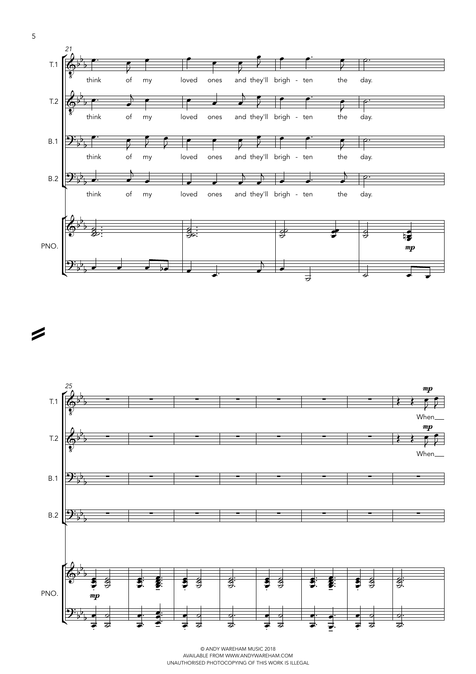

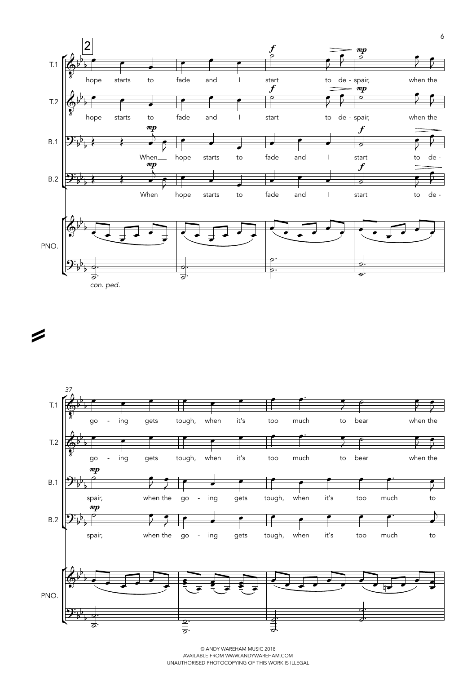

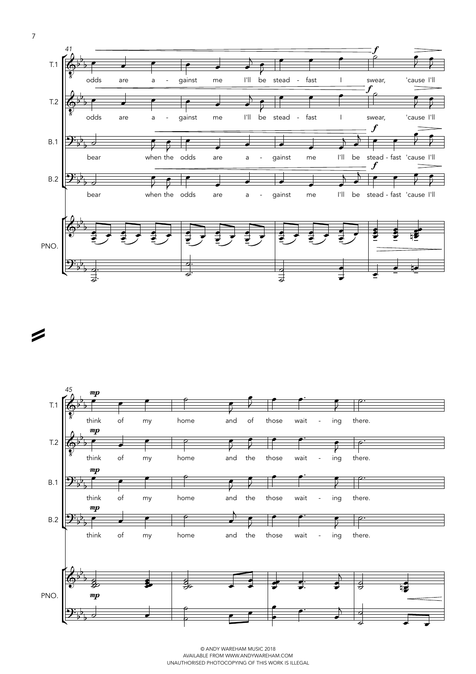

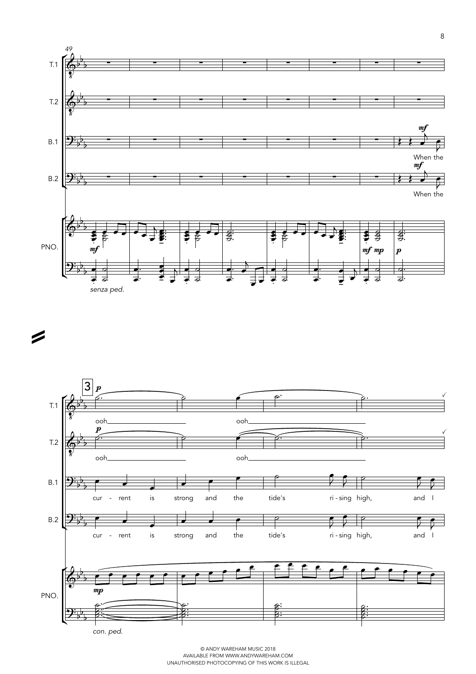

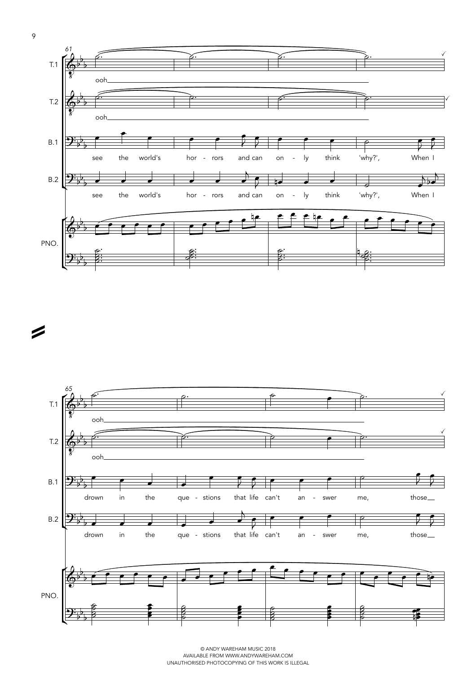

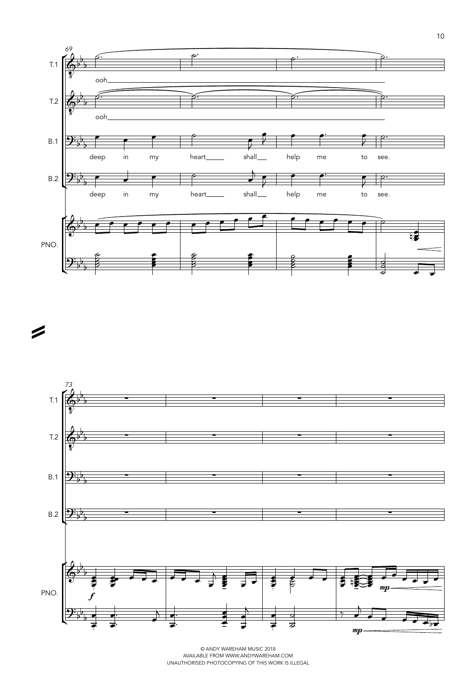

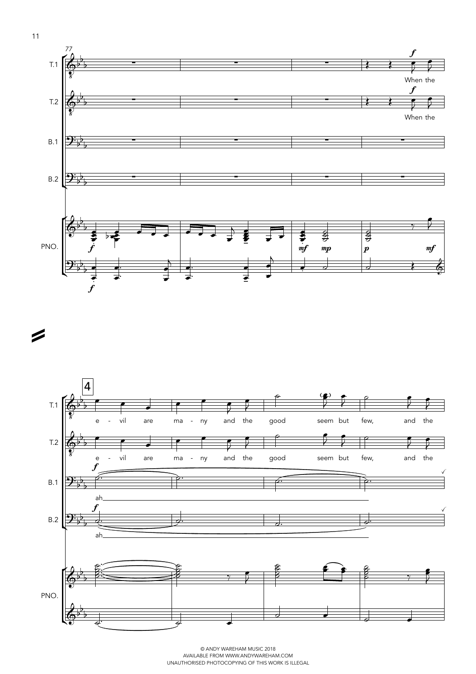



11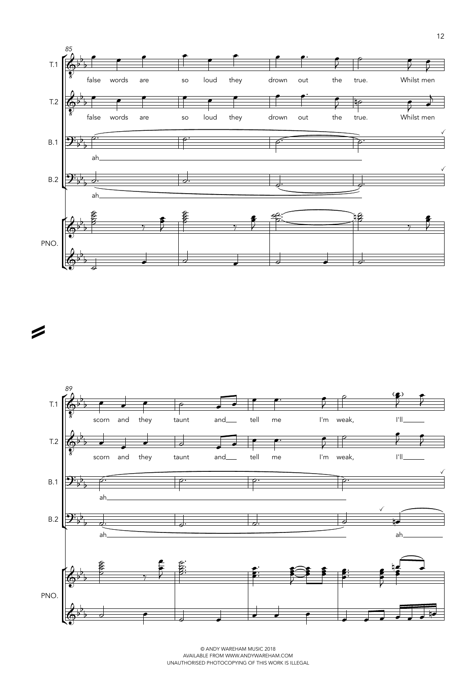



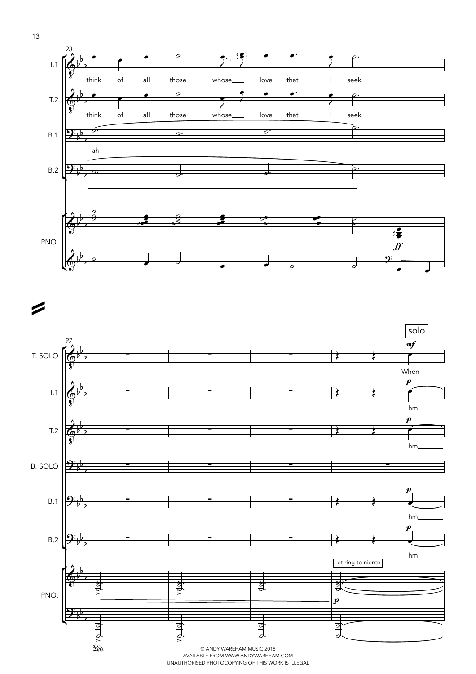



AVAILABLE FROM WWW.ANDYWAREHAM.COM UNAUTHORISED PHOTOCOPYING OF THIS WORK IS ILLEGAL

13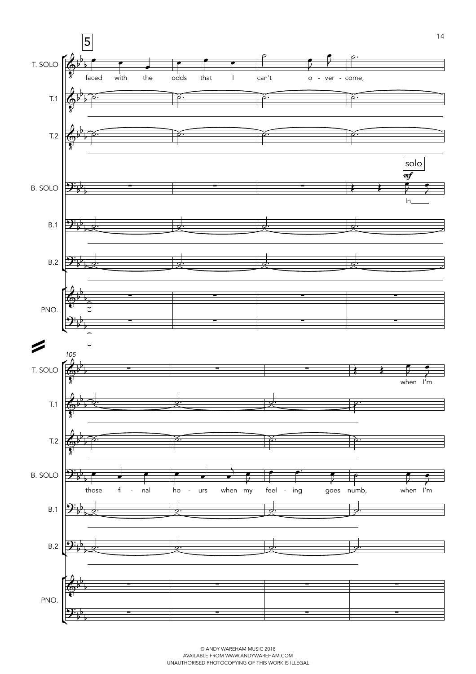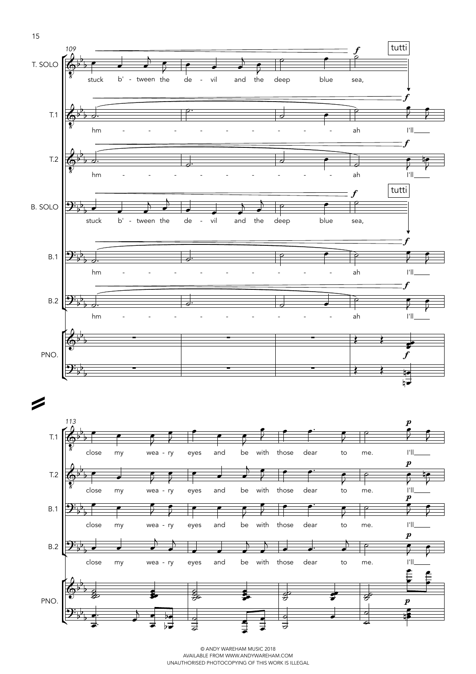° ¢ ° ¢ ° 113 ¢ T. SOLO T.1 T.2 B. SOLO B.1 B.2 PNO. stuck b' - tween the de - vil and the deep blue sea, 109 **for the contract of the contract of the contract of the contract of the contract of the contract of the contract of the contract of the contract of the contract of the contract of the contract of the contract of the c** hm - - - - - - - - - ah I'll f hm - - - - - - - - - ah I'll f stuck b' - tween the de - vil and the deep blue sea, f hm - - - - - - - - - ah I'll f hm - - - - - - - - - ah I'll f f T.1 T.2 B.1 B.2 PNO. close my wea - ry eyes and be with those dear to me. I'll 113 **p** close my wea - ry eyes and be with those dear to me. I'll  $\boldsymbol{p}$ close my wea - ry eyes and be with those dear to me. I'll  $\ddot{\bm{p}}$ close my wea - ry eyes and be with those dear to me. I'll  $\boldsymbol{p}$  $\boldsymbol{p}$  $\Phi$  $\overline{\mathbf{S}}$ b b b tutti  $\Phi$  $\overline{\mathbf{S}}$ b b b  $\Phi$  $\overline{\mathbf{e}}$ b b b  $\mathbf{\mathfrak{P}}_{\flat}$ b b tutti  $\mathfrak{P}$ b  $\mathbf{\mathfrak{P}}_{\flat}$ b b  $\overline{\mathbb{G}^{\flat}}$ b b ∑ ∑ ∑  $\mathbf{\mathfrak{P}}_{\flat}$ b b ∑ ∑ ∑  $\Phi$  $\overline{\mathcal{E}}$ b b b  $\Phi$  $\overline{\mathcal{E}}$ b b b  $\mathbf{\mathfrak{P}}_{\flat}$ b b  $\mathbf{\mathfrak{P}}_{\flat}$ b b  $\overline{\mathbb{Q}^{\flat}}$ b b  $\mathbf{\mathfrak{P}}_{\flat}$ b **ॄ**  $\frac{1}{2}$  $\bullet$  e  $\bullet$  $\frac{1}{2}$  $\overline{\mathcal{G}}$   $\overline{\mathcal{G}}$  $\overline{w}$   $\overline{w}$   $\overline{w}$   $\overline{w}$   $\overline{w}$   $\overline{w}$   $\overline{w}$   $\overline{w}$   $\overline{w}$   $\overline{w}$   $\overline{w}$   $\overline{w}$   $\overline{w}$   $\overline{w}$   $\overline{w}$   $\overline{w}$   $\overline{w}$   $\overline{w}$   $\overline{w}$   $\overline{w}$   $\overline{w}$   $\overline{w}$   $\overline{w}$   $\overline{w}$   $\overline{$  $\begin{matrix} 0 & 0 \\ 0 & 0 \end{matrix}$  $\bar{z}$  $\frac{1}{\alpha}$   $\frac{1}{\alpha}$   $\frac{1}{\alpha}$   $\frac{1}{\alpha}$   $\frac{1}{\alpha}$   $\frac{1}{\alpha}$   $\frac{1}{\alpha}$   $\frac{1}{\alpha}$  $\overline{\mathfrak{s}}$  is  $\overline{7}$ œ œ œ  $\overrightarrow{ }$  $j \rightarrow j$  $\overrightarrow{ }$  $\qquad \qquad \bullet \qquad \qquad \circ$  $\overline{w}$   $\overline{w}$   $\overline{w}$   $\overline{w}$   $\overline{w}$   $\overline{w}$   $\overline{w}$   $\overline{w}$   $\overline{w}$   $\overline{w}$   $\overline{w}$   $\overline{w}$   $\overline{w}$   $\overline{w}$   $\overline{w}$   $\overline{w}$   $\overline{w}$   $\overline{w}$   $\overline{w}$   $\overline{w}$   $\overline{w}$   $\overline{w}$   $\overline{w}$   $\overline{w}$   $\overline{$  $\sqrt{2}$  $\bar{z}$  $\int$ ,  $\frac{1}{\sqrt{2\pi}}$  $5 - 5$  $\bar{z}$  $\begin{array}{ccccc} \ast & \ast & \ast & \ast \end{array}$ œœ  $\begin{array}{ccc} \uparrow & & \downarrow \ \uparrow & & \downarrow \end{array}$ µ⊒ nœ  $\bullet$   $\bullet$   $\bullet$  $\sqrt{2}$  $\begin{array}{c} \bullet \end{array}$ J œ  $\zeta$  e  $\zeta$  $\begin{pmatrix} P \\ P \end{pmatrix}$  $\frac{p}{2}$  $\overline{z}$  $\bullet$   $\bullet$   $\bullet$   $\bullet$  $\overline{b}$  $\bullet$  e  $\bullet$  $\rightarrow$  e  $\zeta$  e  $\zeta$  $\bullet$   $\bullet$   $\bullet$  $\frac{1}{2}$ J  $\bullet$   $\bullet$   $\bullet$  $\tilde{D}$  $\bullet$  e  $\bullet$  $5-\frac{5}{2}$  $\zeta$  e e  $\begin{pmatrix} P \\ P \end{pmatrix}$  $\zeta$  $\bar{z}$ œ œ œ  $\overrightarrow{ }$  $j$   $j$   $j$  $\sum$  $\setminus$  e  $\cdot$  $\overline{P}$   $\overline{P}$  $\overline{5}$  $\overline{7}$ g<br>g ˙˙  $\frac{2}{x}$   $\frac{2}{x}$ œœ ु<br>ख्  $\frac{2}{x}$  $\frac{2}{\sigma}$  $e^o$   $\rightarrow$  $e^e$ ˙˙ ▁<br>▃▅▅▅<br>▀▕▅▕▏▆ œ  $\overline{b}$  $rac{1}{\sqrt{2}}$ æ. =

> © ANDY WAREHAM MUSIC 2018 AVAILABLE FROM WWW.ANDYWAREHAM.COM UNAUTHORISED PHOTOCOPYING OF THIS WORK IS ILLEGAL

œ  $\frac{e}{\frac{1}{e}}$ 

 $\frac{1}{e}$   $\frac{1}{e}$ 

 $\begin{array}{c|c} \circ & \bullet & \circ \end{array}$ 

¢

15

b

œ œ ™

 $\overline{\phantom{a}}$ 

œ œ

œ bœ

 $\overrightarrow{a}$ 

˙